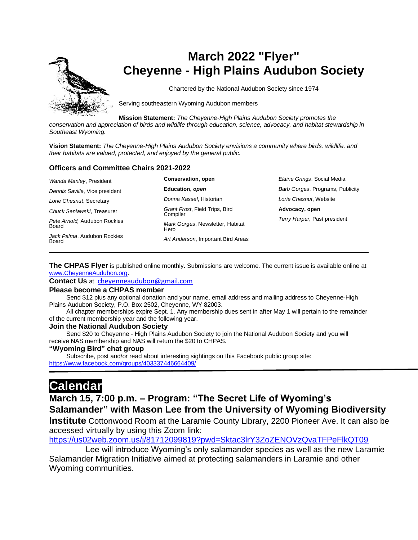

# **March 2022 "Flyer" Cheyenne - High Plains Audubon Society**

Chartered by the National Audubon Society since 1974

Serving southeastern Wyoming Audubon members

**Mission Statement:** *The Cheyenne-High Plains Audubon Society promotes the* 

*conservation and appreciation of birds and wildlife through education, science, advocacy, and habitat stewardship in Southeast Wyoming.*

**Vision Statement:** *The Cheyenne-High Plains Audubon Society envisions a community where birds, wildlife, and their habitats are valued, protected, and enjoyed by the general public.*

#### **Officers and Committee Chairs 2021-2022**

| Wanda Manley, President               | Conservation, open                         | Elaine Grings, Social Media      |
|---------------------------------------|--------------------------------------------|----------------------------------|
| Dennis Saville, Vice president        | Education, open                            | Barb Gorges, Programs, Publicity |
| Lorie Chesnut, Secretary              | Donna Kassel, Historian                    | Lorie Chesnut, Website           |
| Chuck Seniawski, Treasurer            | Grant Frost, Field Trips, Bird<br>Compiler | Advocacy, open                   |
| Pete Arnold, Audubon Rockies<br>Board | Mark Gorges, Newsletter, Habitat<br>Hero   | Terry Harper, Past president     |
| Jack Palma, Audubon Rockies<br>Board  | Art Anderson, Important Bird Areas         |                                  |

**The CHPAS Flyer** is published online monthly. Submissions are welcome. The current issue is available online at [www.CheyenneAudubon.org.](http://www.cheyenneaudubon.org/)

**Contact Us** at [cheyenneaudubon@gmail.com](mailto:cheyenneaudubon@gmail.com)

#### **Please become a CHPAS member**

 Send \$12 plus any optional donation and your name, email address and mailing address to Cheyenne-High Plains Audubon Society, P.O. Box 2502, Cheyenne, WY 82003.

 All chapter memberships expire Sept. 1. Any membership dues sent in after May 1 will pertain to the remainder of the current membership year and the following year.

#### **Join the National Audubon Society**

 Send \$20 to Cheyenne - High Plains Audubon Society to join the National Audubon Society and you will receive NAS membership and NAS will return the \$20 to CHPAS.

#### **"Wyoming Bird" chat group**

 Subscribe, post and/or read about interesting sightings on this Facebook public group site: <https://www.facebook.com/groups/403337446664409/>

# **Calendar**

## **March 15, 7:00 p.m. – Program: "The Secret Life of Wyoming's Salamander" with Mason Lee from the University of Wyoming Biodiversity**

**Institute** Cottonwood Room at the Laramie County Library, 2200 Pioneer Ave. It can also be accessed virtually by using this Zoom link:

<https://us02web.zoom.us/j/81712099819?pwd=Sktac3lrY3ZoZENOVzQvaTFPeFlkQT09>

 Lee will introduce Wyoming's only salamander species as well as the new Laramie Salamander Migration Initiative aimed at protecting salamanders in Laramie and other Wyoming communities.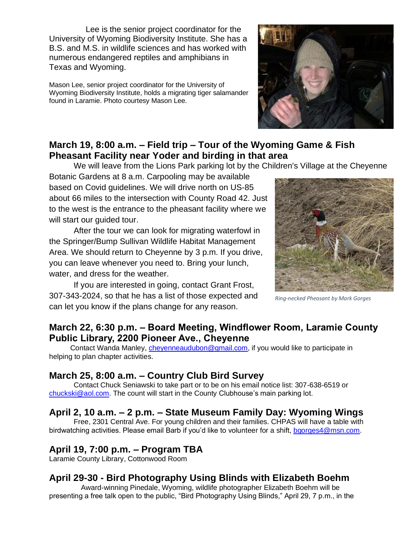Lee is the senior project coordinator for the University of Wyoming Biodiversity Institute. She has a B.S. and M.S. in wildlife sciences and has worked with numerous endangered reptiles and amphibians in Texas and Wyoming.

Mason Lee, senior project coordinator for the University of Wyoming Biodiversity Institute, holds a migrating tiger salamander found in Laramie. Photo courtesy Mason Lee.



## **March 19, 8:00 a.m. – Field trip – Tour of the Wyoming Game & Fish Pheasant Facility near Yoder and birding in that area**

We will leave from the Lions Park parking lot by the Children's Village at the Cheyenne

Botanic Gardens at 8 a.m. Carpooling may be available based on Covid guidelines. We will drive north on US-85 about 66 miles to the intersection with County Road 42. Just to the west is the entrance to the pheasant facility where we will start our guided tour.

After the tour we can look for migrating waterfowl in the Springer/Bump Sullivan Wildlife Habitat Management Area. We should return to Cheyenne by 3 p.m. If you drive, you can leave whenever you need to. Bring your lunch, water, and dress for the weather.

If you are interested in going, contact Grant Frost, 307-343-2024, so that he has a list of those expected and can let you know if the plans change for any reason.



*Ring-necked Pheasant by Mark Gorges*

## **March 22, 6:30 p.m. – Board Meeting, Windflower Room, Laramie County Public Library, 2200 Pioneer Ave., Cheyenne**

Contact Wanda Manley, *cheyenneaudubon@gmail.com*, if you would like to participate in helping to plan chapter activities.

## **March 25, 8:00 a.m. – Country Club Bird Survey**

Contact Chuck Seniawski to take part or to be on his email notice list: 307-638-6519 or [chuckski@aol.com.](mailto:chuckski@aol.com) The count will start in the County Clubhouse's main parking lot.

## **April 2, 10 a.m. – 2 p.m. – State Museum Family Day: Wyoming Wings**

Free, 2301 Central Ave. For young children and their families. CHPAS will have a table with birdwatching activities. Please email Barb if you'd like to volunteer for a shift, [bgorges4@msn.com.](mailto:bgorges4@msn.com)

## **April 19, 7:00 p.m. – Program TBA**

Laramie County Library, Cottonwood Room

## **April 29-30 - Bird Photography Using Blinds with Elizabeth Boehm**

 Award-winning Pinedale, Wyoming, wildlife photographer Elizabeth Boehm will be presenting a free talk open to the public, "Bird Photography Using Blinds," April 29, 7 p.m., in the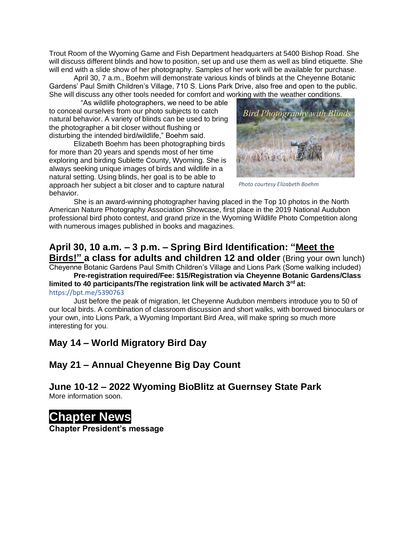Trout Room of the Wyoming Game and Fish Department headquarters at 5400 Bishop Road. She will discuss different blinds and how to position, set up and use them as well as blind etiquette. She will end with a slide show of her photography. Samples of her work will be available for purchase.

April 30, 7 a.m., Boehm will demonstrate various kinds of blinds at the Cheyenne Botanic Gardens' Paul Smith Children's Village, 710 S. Lions Park Drive, also free and open to the public. She will discuss any other tools needed for comfort and working with the weather conditions.

 "As wildlife photographers, we need to be able to conceal ourselves from our photo subjects to catch natural behavior. A variety of blinds can be used to bring the photographer a bit closer without flushing or disturbing the intended bird/wildlife," Boehm said.

Elizabeth Boehm has been photographing birds for more than 20 years and spends most of her time exploring and birding Sublette County, Wyoming. She is always seeking unique images of birds and wildlife in a natural setting. Using blinds, her goal is to be able to approach her subject a bit closer and to capture natural behavior.



*Photo courtesy Elizabeth Boehm*

She is an award-winning photographer having placed in the Top 10 photos in the North American Nature Photography Association Showcase, first place in the 2019 National Audubon professional bird photo contest, and grand prize in the Wyoming Wildlife Photo Competition along with numerous images published in books and magazines.

### **April 30, 10 a.m. – 3 p.m. – Spring Bird Identification: "Meet the Birds!" a class for adults and children 12 and older** (Bring your own lunch)

Cheyenne Botanic Gardens Paul Smith Children's Village and Lions Park (Some walking included)

**Pre-registration required/Fee: \$15/Registration via Cheyenne Botanic Gardens/Class limited to 40 participants/The registration link will be activated March 3rd at:**  [https://bpt.me/5390763](https://nam12.safelinks.protection.outlook.com/?url=https%3A%2F%2Fbpt.me%2F5390763&data=04%7C01%7C%7C1103e411acbe41f1e73608d9fbc2f76f%7C84df9e7fe9f640afb435aaaaaaaaaaaa%7C1%7C0%7C637817637073601469%7CUnknown%7CTWFpbGZsb3d8eyJWIjoiMC4wLjAwMDAiLCJQIjoiV2luMzIiLCJBTiI6Ik1haWwiLCJXVCI6Mn0%3D%7C3000&sdata=5dTrMZLYy1r%2FbhVnGCsvXJjLpqJAkuHiEo1rdzb66Os%3D&reserved=0)

Just before the peak of migration, let Cheyenne Audubon members introduce you to 50 of our local birds. A combination of classroom discussion and short walks, with borrowed binoculars or your own, into Lions Park, a Wyoming Important Bird Area, will make spring so much more interesting for you.

## **May 14 – World Migratory Bird Day**

### **May 21 – Annual Cheyenne Big Day Count**

#### **June 10-12 – 2022 Wyoming BioBlitz at Guernsey State Park** More information soon.

# **Chapter News**

**Chapter President's message**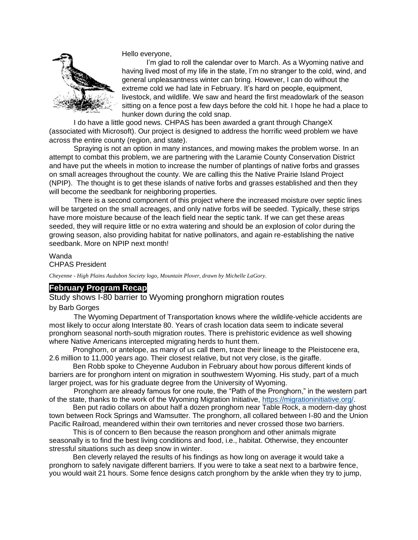

Hello everyone,

I'm glad to roll the calendar over to March. As a Wyoming native and having lived most of my life in the state, I'm no stranger to the cold, wind, and general unpleasantness winter can bring. However, I can do without the extreme cold we had late in February. It's hard on people, equipment, livestock, and wildlife. We saw and heard the first meadowlark of the season sitting on a fence post a few days before the cold hit. I hope he had a place to hunker down during the cold snap.

I do have a little good news. CHPAS has been awarded a grant through ChangeX (associated with Microsoft). Our project is designed to address the horrific weed problem we have across the entire county (region, and state).

Spraying is not an option in many instances, and mowing makes the problem worse. In an attempt to combat this problem, we are partnering with the Laramie County Conservation District and have put the wheels in motion to increase the number of plantings of native forbs and grasses on small acreages throughout the county. We are calling this the Native Prairie Island Project (NPIP). The thought is to get these islands of native forbs and grasses established and then they will become the seedbank for neighboring properties.

There is a second component of this project where the increased moisture over septic lines will be targeted on the small acreages, and only native forbs will be seeded. Typically, these strips have more moisture because of the leach field near the septic tank. If we can get these areas seeded, they will require little or no extra watering and should be an explosion of color during the growing season, also providing habitat for native pollinators, and again re-establishing the native seedbank. More on NPIP next month!

Wanda CHPAS President

*Cheyenne - High Plains Audubon Society logo, Mountain Plover, drawn by Michelle LaGory.*

#### **February Program Recap**

Study shows I-80 barrier to Wyoming pronghorn migration routes

by Barb Gorges

The Wyoming Department of Transportation knows where the wildlife-vehicle accidents are most likely to occur along Interstate 80. Years of crash location data seem to indicate several pronghorn seasonal north-south migration routes. There is prehistoric evidence as well showing where Native Americans intercepted migrating herds to hunt them.

 Pronghorn, or antelope, as many of us call them, trace their lineage to the Pleistocene era, 2.6 million to 11,000 years ago. Their closest relative, but not very close, is the giraffe.

 Ben Robb spoke to Cheyenne Audubon in February about how porous different kinds of barriers are for pronghorn intent on migration in southwestern Wyoming. His study, part of a much larger project, was for his graduate degree from the University of Wyoming.

Pronghorn are already famous for one route, the "Path of the Pronghorn," in the western part of the state, thanks to the work of the Wyoming Migration Initiative, [https://migrationinitiative.org/.](https://migrationinitiative.org/)

 Ben put radio collars on about half a dozen pronghorn near Table Rock, a modern-day ghost town between Rock Springs and Wamsutter. The pronghorn, all collared between I-80 and the Union Pacific Railroad, meandered within their own territories and never crossed those two barriers.

 This is of concern to Ben because the reason pronghorn and other animals migrate seasonally is to find the best living conditions and food, i.e., habitat. Otherwise, they encounter stressful situations such as deep snow in winter.

 Ben cleverly relayed the results of his findings as how long on average it would take a pronghorn to safely navigate different barriers. If you were to take a seat next to a barbwire fence, you would wait 21 hours. Some fence designs catch pronghorn by the ankle when they try to jump,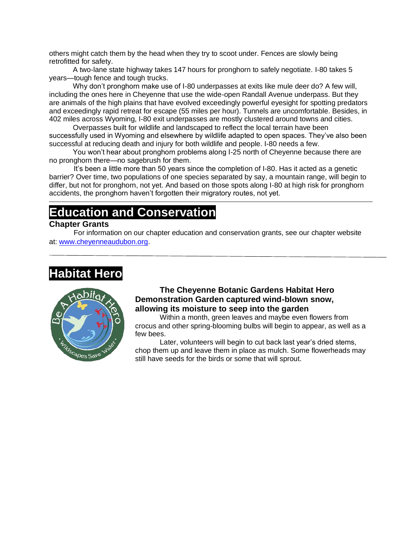others might catch them by the head when they try to scoot under. Fences are slowly being retrofitted for safety.

 A two-lane state highway takes 147 hours for pronghorn to safely negotiate. I-80 takes 5 years—tough fence and tough trucks.

 Why don't pronghorn make use of I-80 underpasses at exits like mule deer do? A few will, including the ones here in Cheyenne that use the wide-open Randall Avenue underpass. But they are animals of the high plains that have evolved exceedingly powerful eyesight for spotting predators and exceedingly rapid retreat for escape (55 miles per hour). Tunnels are uncomfortable. Besides, in 402 miles across Wyoming, I-80 exit underpasses are mostly clustered around towns and cities.

 Overpasses built for wildlife and landscaped to reflect the local terrain have been successfully used in Wyoming and elsewhere by wildlife adapted to open spaces. They've also been successful at reducing death and injury for both wildlife and people. I-80 needs a few.

 You won't hear about pronghorn problems along I-25 north of Cheyenne because there are no pronghorn there—no sagebrush for them.

It's been a little more than 50 years since the completion of I-80. Has it acted as a genetic barrier? Over time, two populations of one species separated by say, a mountain range, will begin to differ, but not for pronghorn, not yet. And based on those spots along I-80 at high risk for pronghorn accidents, the pronghorn haven't forgotten their migratory routes, not yet.

# **Education and Conservation**

### **Chapter Grants**

For information on our chapter education and conservation grants, see our chapter website at: [www.cheyenneaudubon.org.](http://www.cheyenneaudubon.org/)

# **Habitat Hero**



### **The Cheyenne Botanic Gardens Habitat Hero Demonstration Garden captured wind-blown snow, allowing its moisture to seep into the garden**

Within a month, green leaves and maybe even flowers from crocus and other spring-blooming bulbs will begin to appear, as well as a few bees.

Later, volunteers will begin to cut back last year's dried stems, chop them up and leave them in place as mulch. Some flowerheads may still have seeds for the birds or some that will sprout.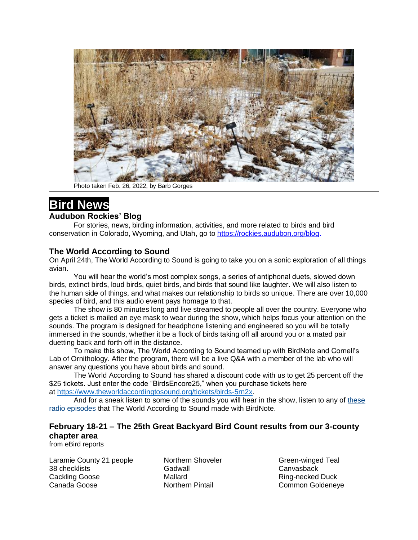

Photo taken Feb. 26, 2022, by Barb Gorges

## **Bird News**

#### **Audubon Rockies' Blog**

For stories, news, birding information, activities, and more related to birds and bird conservation in Colorado, Wyoming, and Utah, go to<https://rockies.audubon.org/blog.>

### **The World According to Sound**

On April 24th, The World According to Sound is going to take you on a sonic exploration of all things avian.

You will hear the world's most complex songs, a series of antiphonal duets, slowed down birds, extinct birds, loud birds, quiet birds, and birds that sound like laughter. We will also listen to the human side of things, and what makes our relationship to birds so unique. There are over 10,000 species of bird, and this audio event pays homage to that.

The show is 80 minutes long and live streamed to people all over the country. Everyone who gets a ticket is mailed an eye mask to wear during the show, which helps focus your attention on the sounds. The program is designed for headphone listening and engineered so you will be totally immersed in the sounds, whether it be a flock of birds taking off all around you or a mated pair duetting back and forth off in the distance.

To make this show, The World According to Sound teamed up with BirdNote and Cornell's Lab of Ornithology. After the program, there will be a live Q&A with a member of the lab who will answer any questions you have about birds and sound.

The World According to Sound has shared a discount code with us to get 25 percent off the \$25 tickets. Just enter the code "BirdsEncore25," when you purchase tickets here at [https://www.theworldaccordingtosound.org/tickets/birds-5rn2x.](https://www.theworldaccordingtosound.org/tickets/birds-5rn2x)

And for a sneak listen to some of the sounds you will hear in the show, listen to any of [these](https://nam12.safelinks.protection.outlook.com/?url=https%3A%2F%2Fwww.birdnote.org%2Fcontributed%2F17006&data=04%7C01%7C%7Ca11fa9ec129a4b737be908d9f87d0297%7C84df9e7fe9f640afb435aaaaaaaaaaaa%7C1%7C0%7C637814038057248639%7CUnknown%7CTWFpbGZsb3d8eyJWIjoiMC4wLjAwMDAiLCJQIjoiV2luMzIiLCJBTiI6Ik1haWwiLCJXVCI6Mn0%3D%7C3000&sdata=eg7ndFy6WNREqyTRyv0GYIQ7Dq4g0Nq7MQV8UzI%2FZZI%3D&reserved=0)  [radio episodes](https://nam12.safelinks.protection.outlook.com/?url=https%3A%2F%2Fwww.birdnote.org%2Fcontributed%2F17006&data=04%7C01%7C%7Ca11fa9ec129a4b737be908d9f87d0297%7C84df9e7fe9f640afb435aaaaaaaaaaaa%7C1%7C0%7C637814038057248639%7CUnknown%7CTWFpbGZsb3d8eyJWIjoiMC4wLjAwMDAiLCJQIjoiV2luMzIiLCJBTiI6Ik1haWwiLCJXVCI6Mn0%3D%7C3000&sdata=eg7ndFy6WNREqyTRyv0GYIQ7Dq4g0Nq7MQV8UzI%2FZZI%3D&reserved=0) that The World According to Sound made with BirdNote.

### **February 18-21 – The 25th Great Backyard Bird Count results from our 3-county chapter area**

from eBird reports

Laramie County 21 people 38 checklists Cackling Goose Canada Goose

Northern Shoveler Gadwall Mallard Northern Pintail

Green-winged Teal **Canvasback** Ring-necked Duck Common Goldeneye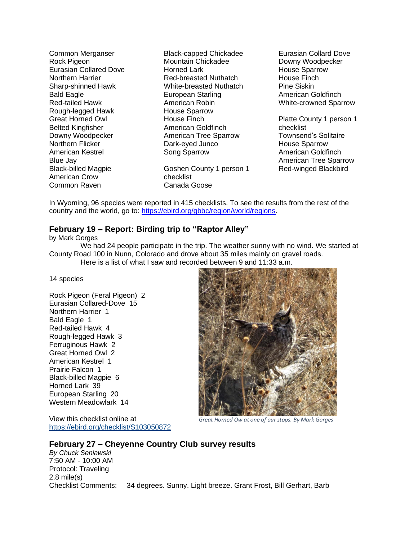Common Merganser Rock Pigeon Eurasian Collared Dove Northern Harrier Sharp-shinned Hawk Bald Eagle Red-tailed Hawk Rough-legged Hawk Great Horned Owl Belted Kingfisher Downy Woodpecker Northern Flicker American Kestrel Blue Jay Black-billed Magpie American Crow Common Raven

Black-capped Chickadee Mountain Chickadee Horned Lark Red-breasted Nuthatch White-breasted Nuthatch European Starling American Robin House Sparrow House Finch American Goldfinch American Tree Sparrow Dark-eyed Junco Song Sparrow

Goshen County 1 person 1 checklist Canada Goose

Eurasian Collard Dove Downy Woodpecker House Sparrow House Finch Pine Siskin American Goldfinch White-crowned Sparrow

Platte County 1 person 1 checklist Townsend's Solitaire House Sparrow American Goldfinch American Tree Sparrow Red-winged Blackbird

In Wyoming, 96 species were reported in 415 checklists. To see the results from the rest of the country and the world, go to: [https://ebird.org/gbbc/region/world/regions.](https://ebird.org/gbbc/region/world/regions)

#### **February 19 – Report: Birding trip to "Raptor Alley"**

by Mark Gorges

14 species

We had 24 people participate in the trip. The weather sunny with no wind. We started at County Road 100 in Nunn, Colorado and drove about 35 miles mainly on gravel roads. Here is a list of what I saw and recorded between 9 and 11:33 a.m.

Rock Pigeon (Feral Pigeon) 2 Eurasian Collared-Dove 15 Northern Harrier 1 Bald Eagle 1 Red-tailed Hawk 4 Rough-legged Hawk 3 Ferruginous Hawk 2 Great Horned Owl 2 American Kestrel 1 Prairie Falcon 1 Black-billed Magpie 6 Horned Lark 39 European Starling 20 Western Meadowlark 14

View this checklist online at <https://ebird.org/checklist/S103050872>



*Great Horned Ow at one of our stops. By Mark Gorges*

#### **February 27 – Cheyenne Country Club survey results**

*By Chuck Seniawski* 7:50 AM - 10:00 AM Protocol: Traveling 2.8 mile(s) Checklist Comments: 34 degrees. Sunny. Light breeze. Grant Frost, Bill Gerhart, Barb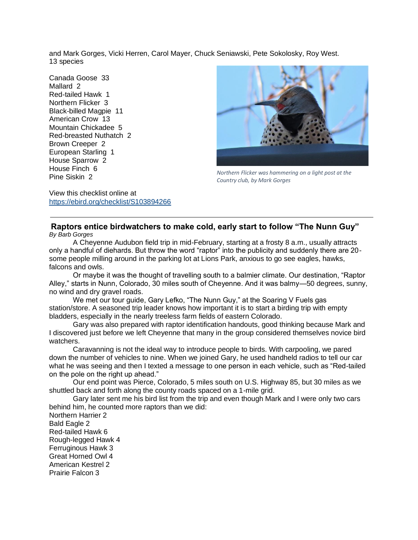and Mark Gorges, Vicki Herren, Carol Mayer, Chuck Seniawski, Pete Sokolosky, Roy West. 13 species

Canada Goose 33 Mallard 2 Red-tailed Hawk 1 Northern Flicker 3 Black-billed Magpie 11 American Crow 13 Mountain Chickadee 5 Red-breasted Nuthatch 2 Brown Creeper 2 European Starling 1 House Sparrow 2 House Finch 6 Pine Siskin 2



*Northern Flicker was hammering on a light post at the Country club, by Mark Gorges*

View this checklist online at <https://ebird.org/checklist/S103894266>

#### **Raptors entice birdwatchers to make cold, early start to follow "The Nunn Guy"** *By Barb Gorges*

 A Cheyenne Audubon field trip in mid-February, starting at a frosty 8 a.m., usually attracts only a handful of diehards. But throw the word "raptor" into the publicity and suddenly there are 20 some people milling around in the parking lot at Lions Park, anxious to go see eagles, hawks, falcons and owls.

 Or maybe it was the thought of travelling south to a balmier climate. Our destination, "Raptor Alley," starts in Nunn, Colorado, 30 miles south of Cheyenne. And it was balmy—50 degrees, sunny, no wind and dry gravel roads.

We met our tour guide, Gary Lefko, "The Nunn Guy," at the Soaring V Fuels gas station/store. A seasoned trip leader knows how important it is to start a birding trip with empty bladders, especially in the nearly treeless farm fields of eastern Colorado.

 Gary was also prepared with raptor identification handouts, good thinking because Mark and I discovered just before we left Cheyenne that many in the group considered themselves novice bird watchers.

 Caravanning is not the ideal way to introduce people to birds. With carpooling, we pared down the number of vehicles to nine. When we joined Gary, he used handheld radios to tell our car what he was seeing and then I texted a message to one person in each vehicle, such as "Red-tailed on the pole on the right up ahead."

 Our end point was Pierce, Colorado, 5 miles south on U.S. Highway 85, but 30 miles as we shuttled back and forth along the county roads spaced on a 1-mile grid.

 Gary later sent me his bird list from the trip and even though Mark and I were only two cars behind him, he counted more raptors than we did:

Northern Harrier 2 Bald Eagle 2 Red-tailed Hawk 6 Rough-legged Hawk 4 Ferruginous Hawk 3 Great Horned Owl 4 American Kestrel 2 Prairie Falcon 3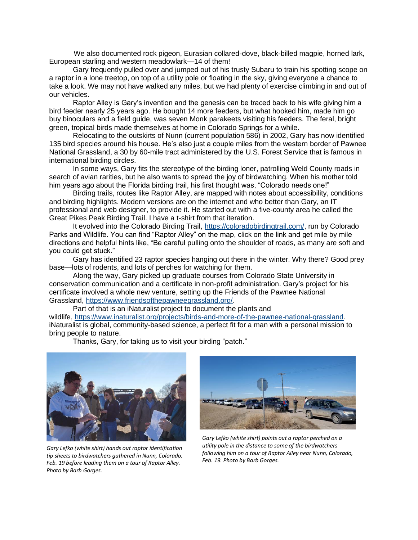We also documented rock pigeon, Eurasian collared-dove, black-billed magpie, horned lark, European starling and western meadowlark—14 of them!

 Gary frequently pulled over and jumped out of his trusty Subaru to train his spotting scope on a raptor in a lone treetop, on top of a utility pole or floating in the sky, giving everyone a chance to take a look. We may not have walked any miles, but we had plenty of exercise climbing in and out of our vehicles.

 Raptor Alley is Gary's invention and the genesis can be traced back to his wife giving him a bird feeder nearly 25 years ago. He bought 14 more feeders, but what hooked him, made him go buy binoculars and a field guide, was seven Monk parakeets visiting his feeders. The feral, bright green, tropical birds made themselves at home in Colorado Springs for a while.

 Relocating to the outskirts of Nunn (current population 586) in 2002, Gary has now identified 135 bird species around his house. He's also just a couple miles from the western border of Pawnee National Grassland, a 30 by 60-mile tract administered by the U.S. Forest Service that is famous in international birding circles.

 In some ways, Gary fits the stereotype of the birding loner, patrolling Weld County roads in search of avian rarities, but he also wants to spread the joy of birdwatching. When his mother told him years ago about the Florida birding trail, his first thought was, "Colorado needs one!"

 Birding trails, routes like Raptor Alley, are mapped with notes about accessibility, conditions and birding highlights. Modern versions are on the internet and who better than Gary, an IT professional and web designer, to provide it. He started out with a five-county area he called the Great Pikes Peak Birding Trail. I have a t-shirt from that iteration.

 It evolved into the Colorado Birding Trail, [https://coloradobirdingtrail.com/,](https://coloradobirdingtrail.com/) run by Colorado Parks and Wildlife. You can find "Raptor Alley" on the map, click on the link and get mile by mile directions and helpful hints like, "Be careful pulling onto the shoulder of roads, as many are soft and you could get stuck."

 Gary has identified 23 raptor species hanging out there in the winter. Why there? Good prey base—lots of rodents, and lots of perches for watching for them.

 Along the way, Gary picked up graduate courses from Colorado State University in conservation communication and a certificate in non-profit administration. Gary's project for his certificate involved a whole new venture, setting up the Friends of the Pawnee National Grassland, [https://www.friendsofthepawneegrassland.org/.](https://www.friendsofthepawneegrassland.org/)

 Part of that is an iNaturalist project to document the plants and wildlife, [https://www.inaturalist.org/projects/birds-and-more-of-the-pawnee-national-grassland.](https://www.inaturalist.org/projects/birds-and-more-of-the-pawnee-national-grassland) iNaturalist is global, community-based science, a perfect fit for a man with a personal mission to bring people to nature.

Thanks, Gary, for taking us to visit your birding "patch."



*tip sheets to birdwatchers gathered in Nunn, Colorado, Feb. 19 before leading them on a tour of Raptor Alley. Photo by Barb Gorges.*



*Gary Lefko (white shirt) points out a raptor perched on a utility pole in the distance to some of the birdwatchers following him on a tour of Raptor Alley near Nunn, Colorado, Feb. 19. Photo by Barb Gorges.*